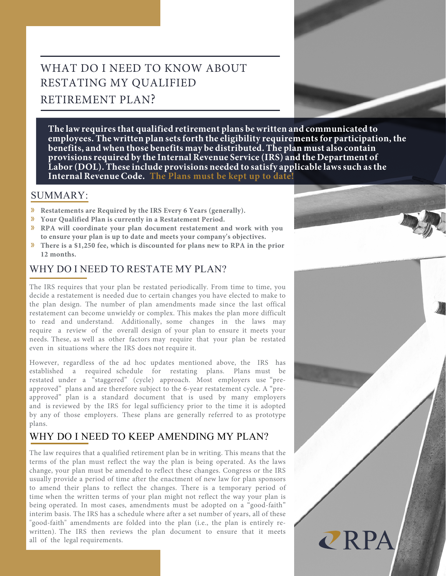# WHAT DO I NEED TO KNOW ABOUT RESTATING MY QUALIFIED RETIREMENT PLAN?

**The law requires that qualified retirement plans be written and communicated to employees. The written plan sets forth the eligibility requirements for participation, the benefits, and when those benefits may be distributed. The plan must also contain provisions required by the Internal Revenue Service (IRS) and the Department of** Labor (DOL). These include provisions needed to satisfy applicable laws such as the **Internal Revenue Code. The Plans must be kept up to date!**

### SUMMARY:

- » **Restatements are Required by the IRS Every 6 Years (generally).**
- » **Your Qualified Plan is currently in a Restatement Period.**
- » **RPA will coordinate your plan document restatement and work with you to ensure your plan is up to date and meets your company's objectives.**
- » **There is a \$1,250 fee, which is discounted for plans new to RPA in the prior 12 months.**

### WHY DO I NEED TO RESTATE MY PLAN?

The IRS requires that your plan be restated periodically. From time to time, you decide a restatement is needed due to certain changes you have elected to make to the plan design. The number of plan amendments made since the last offical restatement can become unwieldy or complex. This makes the plan more difficult to read and understand. Additionally, some changes in the laws may require a review of the overall design of your plan to ensure it meets your needs. These, as well as other factors may require that your plan be restated even in situations where the IRS does not require it.

However, regardless of the ad hoc updates mentioned above, the IRS has established a required schedule for restating plans. Plans must be restated under a "staggered" (cycle) approach. Most employers use "preapproved" plans and are therefore subject to the 6-year restatement cycle. A "preapproved" plan is a standard document that is used by many employers and is reviewed by the IRS for legal sufficiency prior to the time it is adopted by any of those employers. These plans are generally referred to as prototype plans.

## WHY DO I NEED TO KEEP AMENDING MY PLAN?

The law requires that a qualified retirement plan be in writing. This means that the terms of the plan must reflect the way the plan is being operated. As the laws change, your plan must be amended to reflect these changes. Congress or the IRS usually provide a period of time after the enactment of new law for plan sponsors to amend their plans to reflect the changes. There is a temporary period of time when the written terms of your plan might not reflect the way your plan is being operated. In most cases, amendments must be adopted on a "good-faith" interim basis. The IRS has a schedule where after a set number of years, all of these "good-faith" amendments are folded into the plan (i.e., the plan is entirely rewritten). The IRS then reviews the plan document to ensure that it meets all of the legal requirements.



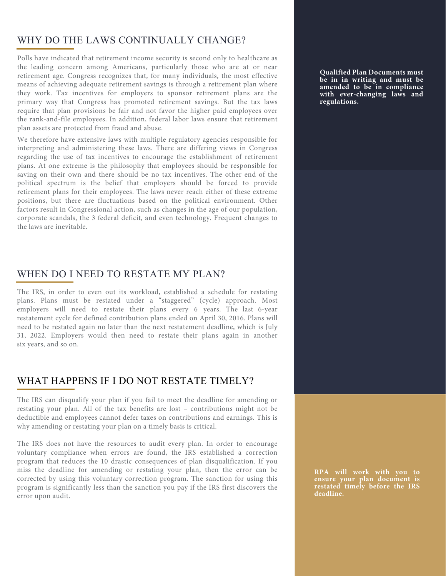### WHY DO THE LAWS CONTINUALLY CHANGE?

Polls have indicated that retirement income security is second only to healthcare as the leading concern among Americans, particularly those who are at or near retirement age. Congress recognizes that, for many individuals, the most effective means of achieving adequate retirement savings is through a retirement plan where they work. Tax incentives for employers to sponsor retirement plans are the primary way that Congress has promoted retirement savings. But the tax laws require that plan provisions be fair and not favor the higher paid employees over the rank-and-file employees. In addition, federal labor laws ensure that retirement plan assets are protected from fraud and abuse.

We therefore have extensive laws with multiple regulatory agencies responsible for interpreting and administering these laws. There are differing views in Congress regarding the use of tax incentives to encourage the establishment of retirement plans. At one extreme is the philosophy that employees should be responsible for saving on their own and there should be no tax incentives. The other end of the political spectrum is the belief that employers should be forced to provide retirement plans for their employees. The laws never reach either of these extreme positions, but there are fluctuations based on the political environment. Other factors result in Congressional action, such as changes in the age of our population, corporate scandals, the 3 federal deficit, and even technology. Frequent changes to the laws are inevitable.

#### WHEN DO I NEED TO RESTATE MY PLAN?

The IRS, in order to even out its workload, established a schedule for restating plans. Plans must be restated under a "staggered" (cycle) approach. Most employers will need to restate their plans every 6 years. The last 6-year restatement cycle for defined contribution plans ended on April 30, 2016. Plans will need to be restated again no later than the next restatement deadline, which is July 31, 2022. Employers would then need to restate their plans again in another six years, and so on.

#### WHAT HAPPENS IF I DO NOT RESTATE TIMELY?

The IRS can disqualify your plan if you fail to meet the deadline for amending or restating your plan. All of the tax benefits are lost – contributions might not be deductible and employees cannot defer taxes on contributions and earnings. This is why amending or restating your plan on a timely basis is critical.

The IRS does not have the resources to audit every plan. In order to encourage voluntary compliance when errors are found, the IRS established a correction program that reduces the 10 drastic consequences of plan disqualification. If you miss the deadline for amending or restating your plan, then the error can be corrected by using this voluntary correction program. The sanction for using this program is significantly less than the sanction you pay if the IRS first discovers the error upon audit.

**Qualified Plan Documents must be in in writing and must be amended to be in compliance with ever-changing laws and regulations.**

**RPA will work with you to ensure your plan document is restated timely before the IRS deadline.**